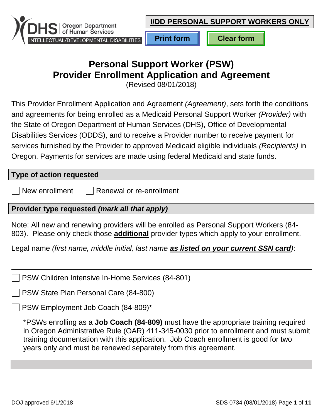

# **Personal Support Worker (PSW) Provider Enrollment Application and Agreement**

(Revised 08/01/2018)

This Provider Enrollment Application and Agreement *(Agreement)*, sets forth the conditions and agreements for being enrolled as a Medicaid Personal Support Worker *(Provider)* with the State of Oregon Department of Human Services (DHS), Office of Developmental Disabilities Services (ODDS), and to receive a Provider number to receive payment for services furnished by the Provider to approved Medicaid eligible individuals *(Recipients)* in Oregon. Payments for services are made using federal Medicaid and state funds.

#### **Type of action requested**

New enrollment  $\Box$  Renewal or re-enrollment

### **Provider type requested** *(mark all that apply)*

Note: All new and renewing providers will be enrolled as Personal Support Workers (84- 803). Please only check those **additional** provider types which apply to your enrollment.

Legal name *(first name, middle initial, last name as listed on your current SSN card)*:

PSW Children Intensive In-Home Services (84-801)

PSW State Plan Personal Care (84-800)

PSW Employment Job Coach (84-809)\*

\*PSWs enrolling as a **Job Coach (84-809)** must have the appropriate training required in Oregon Administrative Rule (OAR) 411-345-0030 prior to enrollment and must submit training documentation with this application. Job Coach enrollment is good for two years only and must be renewed separately from this agreement.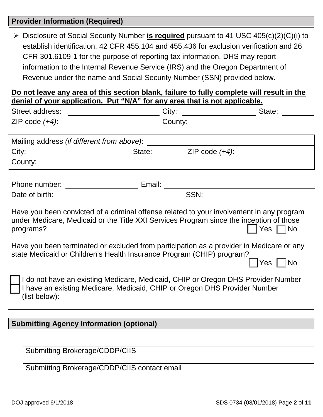#### **Provider Information (Required)**

 Disclosure of Social Security Number **is required** pursuant to 41 USC 405(c)(2)(C)(i) to establish identification, 42 CFR 455.104 and 455.436 for exclusion verification and 26 CFR 301.6109-1 for the purpose of reporting tax information. DHS may report information to the Internal Revenue Service (IRS) and the Oregon Department of Revenue under the name and Social Security Number (SSN) provided below.

#### **Do not leave any area of this section blank, failure to fully complete will result in the denial of your application. Put "N/A" for any area that is not applicable.**

| <u><b>AUTHOR UP YOUR SEPTIONMUM PART AND TURN WITH THE SET OF SHIP</b></u><br>Street address: ___________________________                                                                                                                                                                                                                                             |  | $\alpha$ , on that is not applicable. |                                            |
|-----------------------------------------------------------------------------------------------------------------------------------------------------------------------------------------------------------------------------------------------------------------------------------------------------------------------------------------------------------------------|--|---------------------------------------|--------------------------------------------|
|                                                                                                                                                                                                                                                                                                                                                                       |  |                                       |                                            |
|                                                                                                                                                                                                                                                                                                                                                                       |  |                                       |                                            |
|                                                                                                                                                                                                                                                                                                                                                                       |  |                                       |                                            |
|                                                                                                                                                                                                                                                                                                                                                                       |  |                                       |                                            |
|                                                                                                                                                                                                                                                                                                                                                                       |  |                                       |                                            |
|                                                                                                                                                                                                                                                                                                                                                                       |  |                                       |                                            |
|                                                                                                                                                                                                                                                                                                                                                                       |  |                                       |                                            |
| Have you been convicted of a criminal offense related to your involvement in any program<br>under Medicare, Medicaid or the Title XXI Services Program since the inception of those<br>programs?<br>Have you been terminated or excluded from participation as a provider in Medicare or any<br>state Medicaid or Children's Health Insurance Program (CHIP) program? |  |                                       | $Yes \mid \text{No}$<br>Yes $\vert$<br> No |
| I do not have an existing Medicare, Medicaid, CHIP or Oregon DHS Provider Number<br>I have an existing Medicare, Medicaid, CHIP or Oregon DHS Provider Number<br>(list below):                                                                                                                                                                                        |  |                                       |                                            |
|                                                                                                                                                                                                                                                                                                                                                                       |  |                                       |                                            |
| <b>Submitting Agency Information (optional)</b>                                                                                                                                                                                                                                                                                                                       |  |                                       |                                            |
|                                                                                                                                                                                                                                                                                                                                                                       |  |                                       |                                            |
| <b>Submitting Brokerage/CDDP/CIIS</b>                                                                                                                                                                                                                                                                                                                                 |  |                                       |                                            |

Submitting Brokerage/CDDP/CIIS contact email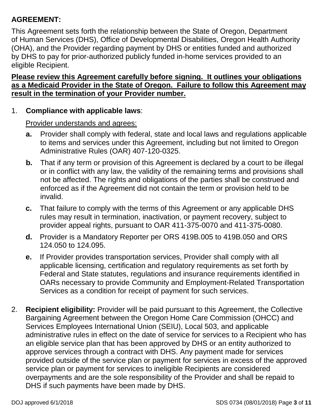# **AGREEMENT:**

This Agreement sets forth the relationship between the State of Oregon, Department of Human Services (DHS), Office of Developmental Disabilities, Oregon Health Authority (OHA), and the Provider regarding payment by DHS or entities funded and authorized by DHS to pay for prior-authorized publicly funded in-home services provided to an eligible Recipient.

#### **Please review this Agreement carefully before signing. It outlines your obligations as a Medicaid Provider in the State of Oregon. Failure to follow this Agreement may result in the termination of your Provider number.**

#### 1. **Compliance with applicable laws**:

- **a.** Provider shall comply with federal, state and local laws and regulations applicable to items and services under this Agreement, including but not limited to Oregon Administrative Rules (OAR) 407-120-0325.
- **b.** That if any term or provision of this Agreement is declared by a court to be illegal or in conflict with any law, the validity of the remaining terms and provisions shall not be affected. The rights and obligations of the parties shall be construed and enforced as if the Agreement did not contain the term or provision held to be invalid.
- **c.** That failure to comply with the terms of this Agreement or any applicable DHS rules may result in termination, inactivation, or payment recovery, subject to provider appeal rights, pursuant to OAR 411-375-0070 and 411-375-0080.
- **d.** Provider is a Mandatory Reporter per ORS 419B.005 to 419B.050 and ORS 124.050 to 124.095.
- **e.** If Provider provides transportation services, Provider shall comply with all applicable licensing, certification and regulatory requirements as set forth by Federal and State statutes, regulations and insurance requirements identified in OARs necessary to provide Community and Employment-Related Transportation Services as a condition for receipt of payment for such services.
- 2. **Recipient eligibility:** Provider will be paid pursuant to this Agreement, the Collective Bargaining Agreement between the Oregon Home Care Commission (OHCC) and Services Employees International Union (SEIU), Local 503, and applicable administrative rules in effect on the date of service for services to a Recipient who has an eligible service plan that has been approved by DHS or an entity authorized to approve services through a contract with DHS. Any payment made for services provided outside of the service plan or payment for services in excess of the approved service plan or payment for services to ineligible Recipients are considered overpayments and are the sole responsibility of the Provider and shall be repaid to DHS if such payments have been made by DHS.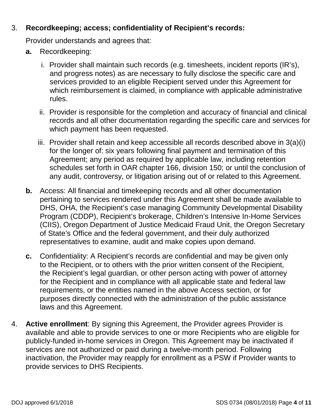# 3. **Recordkeeping; access; confidentiality of Recipient's records:**

- **a.** Recordkeeping:
	- i. Provider shall maintain such records (e.g. timesheets, incident reports (IR's), and progress notes) as are necessary to fully disclose the specific care and services provided to an eligible Recipient served under this Agreement for which reimbursement is claimed, in compliance with applicable administrative rules.
	- ii. Provider is responsible for the completion and accuracy of financial and clinical records and all other documentation regarding the specific care and services for which payment has been requested.
	- iii. Provider shall retain and keep accessible all records described above in 3(a)(i) for the longer of: six years following final payment and termination of this Agreement; any period as required by applicable law, including retention schedules set forth in OAR chapter 166, division 150; or until the conclusion of any audit, controversy, or litigation arising out of or related to this Agreement.
- **b.** Access: All financial and timekeeping records and all other documentation pertaining to services rendered under this Agreement shall be made available to DHS, OHA, the Recipient's case managing Community Developmental Disability Program (CDDP), Recipient's brokerage, Children's Intensive In-Home Services (CIIS), Oregon Department of Justice Medicaid Fraud Unit, the Oregon Secretary of State's Office and the federal government, and their duly authorized representatives to examine, audit and make copies upon demand.
- **c.** Confidentiality: A Recipient's records are confidential and may be given only to the Recipient, or to others with the prior written consent of the Recipient, the Recipient's legal guardian, or other person acting with power of attorney for the Recipient and in compliance with all applicable state and federal law requirements, or the entities named in the above Access section, or for purposes directly connected with the administration of the public assistance laws and this Agreement.
- 4. **Active enrollment**: By signing this Agreement, the Provider agrees Provider is available and able to provide services to one or more Recipients who are eligible for publicly-funded in-home services in Oregon. This Agreement may be inactivated if services are not authorized or paid during a twelve-month period. Following inactivation, the Provider may reapply for enrollment as a PSW if Provider wants to provide services to DHS Recipients.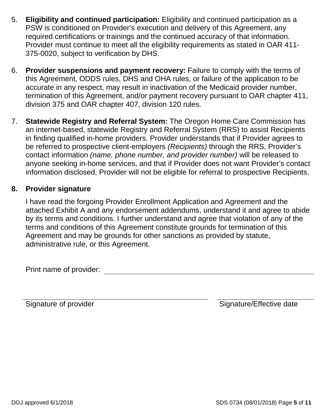- 5. **Eligibility and continued participation:** Eligibility and continued participation as a PSW is conditioned on Provider's execution and delivery of this Agreement, any required certifications or trainings and the continued accuracy of that information. Provider must continue to meet all the eligibility requirements as stated in OAR 411- 375-0020, subject to verification by DHS.
- 6. **Provider suspensions and payment recovery:** Failure to comply with the terms of this Agreement, ODDS rules, DHS and OHA rules, or failure of the application to be accurate in any respect, may result in inactivation of the Medicaid provider number, termination of this Agreement, and/or payment recovery pursuant to OAR chapter 411, division 375 and OAR chapter 407, division 120 rules.
- 7. **Statewide Registry and Referral System:** The Oregon Home Care Commission has an internet-based, statewide Registry and Referral System (RRS) to assist Recipients in finding qualified in-home providers. Provider understands that if Provider agrees to be referred to prospective client-employers *(Recipients)* through the RRS, Provider's contact information *(name, phone number, and provider number)* will be released to anyone seeking in-home services, and that if Provider does not want Provider's contact information disclosed, Provider will not be eligible for referral to prospective Recipients.

#### **8. Provider signature**

I have read the forgoing Provider Enrollment Application and Agreement and the attached Exhibit A and any endorsement addendums, understand it and agree to abide by its terms and conditions. I further understand and agree that violation of any of the terms and conditions of this Agreement constitute grounds for termination of this Agreement and may be grounds for other sanctions as provided by statute, administrative rule, or this Agreement.

Print name of provider:

Signature of provider Signature/Effective date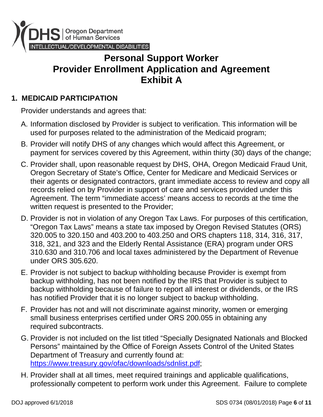

# **Personal Support Worker Provider Enrollment Application and Agreement Exhibit A**

# **1. MEDICAID PARTICIPATION**

- A. Information disclosed by Provider is subject to verification. This information will be used for purposes related to the administration of the Medicaid program;
- B. Provider will notify DHS of any changes which would affect this Agreement, or payment for services covered by this Agreement, within thirty (30) days of the change;
- C. Provider shall, upon reasonable request by DHS, OHA, Oregon Medicaid Fraud Unit, Oregon Secretary of State's Office, Center for Medicare and Medicaid Services or their agents or designated contractors, grant immediate access to review and copy all records relied on by Provider in support of care and services provided under this Agreement. The term "immediate access' means access to records at the time the written request is presented to the Provider;
- D. Provider is not in violation of any Oregon Tax Laws. For purposes of this certification, "Oregon Tax Laws" means a state tax imposed by Oregon Revised Statutes (ORS) 320.005 to 320.150 and 403.200 to 403.250 and ORS chapters 118, 314, 316, 317, 318, 321, and 323 and the Elderly Rental Assistance (ERA) program under ORS 310.630 and 310.706 and local taxes administered by the Department of Revenue under ORS 305.620.
- E. Provider is not subject to backup withholding because Provider is exempt from backup withholding, has not been notified by the IRS that Provider is subject to backup withholding because of failure to report all interest or dividends, or the IRS has notified Provider that it is no longer subject to backup withholding.
- F. Provider has not and will not discriminate against minority, women or emerging small business enterprises certified under ORS 200.055 in obtaining any required subcontracts.
- G. Provider is not included on the list titled "Specially Designated Nationals and Blocked Persons" maintained by the Office of Foreign Assets Control of the United States Department of Treasury and currently found at: [https://www.treasury.gov/ofac/downloads/sdnlist.pdf;](https://www.treasury.gov/ofac/downloads/sdnlist.pdf)
- H. Provider shall at all times, meet required trainings and applicable qualifications, professionally competent to perform work under this Agreement. Failure to complete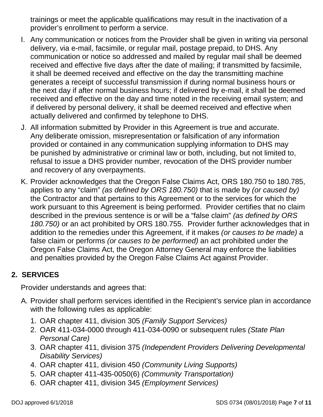trainings or meet the applicable qualifications may result in the inactivation of a provider's enrollment to perform a service.

- I. Any communication or notices from the Provider shall be given in writing via personal delivery, via e-mail, facsimile, or regular mail, postage prepaid, to DHS. Any communication or notice so addressed and mailed by regular mail shall be deemed received and effective five days after the date of mailing; if transmitted by facsimile, it shall be deemed received and effective on the day the transmitting machine generates a receipt of successful transmission if during normal business hours or the next day if after normal business hours; if delivered by e-mail, it shall be deemed received and effective on the day and time noted in the receiving email system; and if delivered by personal delivery, it shall be deemed received and effective when actually delivered and confirmed by telephone to DHS.
- J. All information submitted by Provider in this Agreement is true and accurate. Any deliberate omission, misrepresentation or falsification of any information provided or contained in any communication supplying information to DHS may be punished by administrative or criminal law or both, including, but not limited to, refusal to issue a DHS provider number, revocation of the DHS provider number and recovery of any overpayments.
- K. Provider acknowledges that the Oregon False Claims Act, ORS 180.750 to 180.785, applies to any "claim" *(as defined by ORS 180.750)* that is made by *(or caused by)* the Contractor and that pertains to this Agreement or to the services for which the work pursuant to this Agreement is being performed. Provider certifies that no claim described in the previous sentence is or will be a "false claim" *(as defined by ORS 180.750)* or an act prohibited by ORS 180.755. Provider further acknowledges that in addition to the remedies under this Agreement, if it makes *(or causes to be made)* a false claim or performs *(or causes to be performed)* an act prohibited under the Oregon False Claims Act, the Oregon Attorney General may enforce the liabilities and penalties provided by the Oregon False Claims Act against Provider.

## **2. SERVICES**

- A. Provider shall perform services identified in the Recipient's service plan in accordance with the following rules as applicable:
	- 1. OAR chapter 411, division 305 *(Family Support Services)*
	- 2. OAR 411-034-0000 through 411-034-0090 or subsequent rules *(State Plan Personal Care)*
	- 3. OAR chapter 411, division 375 *(Independent Providers Delivering Developmental Disability Services)*
	- 4. OAR chapter 411, division 450 *(Community Living Supports)*
	- 5. OAR chapter 411-435-0050(6) *(Community Transportation)*
	- 6. OAR chapter 411, division 345 *(Employment Services)*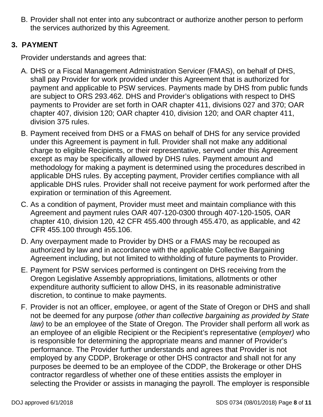B. Provider shall not enter into any subcontract or authorize another person to perform the services authorized by this Agreement.

# **3. PAYMENT**

- A. DHS or a Fiscal Management Administration Servicer (FMAS), on behalf of DHS, shall pay Provider for work provided under this Agreement that is authorized for payment and applicable to PSW services. Payments made by DHS from public funds are subject to ORS 293.462. DHS and Provider's obligations with respect to DHS payments to Provider are set forth in OAR chapter 411, divisions 027 and 370; OAR chapter 407, division 120; OAR chapter 410, division 120; and OAR chapter 411, division 375 rules.
- B. Payment received from DHS or a FMAS on behalf of DHS for any service provided under this Agreement is payment in full. Provider shall not make any additional charge to eligible Recipients, or their representative, served under this Agreement except as may be specifically allowed by DHS rules. Payment amount and methodology for making a payment is determined using the procedures described in applicable DHS rules. By accepting payment, Provider certifies compliance with all applicable DHS rules. Provider shall not receive payment for work performed after the expiration or termination of this Agreement.
- C. As a condition of payment, Provider must meet and maintain compliance with this Agreement and payment rules OAR 407-120-0300 through 407-120-1505, OAR chapter 410, division 120, 42 CFR 455.400 through 455.470, as applicable, and 42 CFR 455.100 through 455.106.
- D. Any overpayment made to Provider by DHS or a FMAS may be recouped as authorized by law and in accordance with the applicable Collective Bargaining Agreement including, but not limited to withholding of future payments to Provider.
- E. Payment for PSW services performed is contingent on DHS receiving from the Oregon Legislative Assembly appropriations, limitations, allotments or other expenditure authority sufficient to allow DHS, in its reasonable administrative discretion, to continue to make payments.
- F. Provider is not an officer, employee, or agent of the State of Oregon or DHS and shall not be deemed for any purpose *(other than collective bargaining as provided by State law)* to be an employee of the State of Oregon. The Provider shall perform all work as an employee of an eligible Recipient or the Recipient's representative (*employer)* who is responsible for determining the appropriate means and manner of Provider's performance. The Provider further understands and agrees that Provider is not employed by any CDDP, Brokerage or other DHS contractor and shall not for any purposes be deemed to be an employee of the CDDP, the Brokerage or other DHS contractor regardless of whether one of these entities assists the employer in selecting the Provider or assists in managing the payroll. The employer is responsible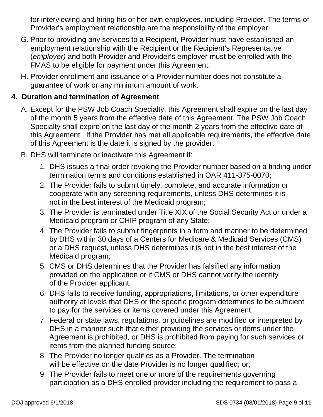for interviewing and hiring his or her own employees, including Provider. The terms of Provider's employment relationship are the responsibility of the employer.

- G. Prior to providing any services to a Recipient, Provider must have established an employment relationship with the Recipient or the Recipient's Representative (*employer)* and both Provider and Provider's employer must be enrolled with the FMAS to be eligible for payment under this Agreement.
- H. Provider enrollment and issuance of a Provider number does not constitute a guarantee of work or any minimum amount of work.

### **4. Duration and termination of Agreement**

- A. Except for the PSW Job Coach Specialty, this Agreement shall expire on the last day of the month 5 years from the effective date of this Agreement. The PSW Job Coach Specialty shall expire on the last day of the month 2 years from the effective date of this Agreement. If the Provider has met all applicable requirements, the effective date of this Agreement is the date it is signed by the provider.
- B. DHS will terminate or inactivate this Agreement if:
	- 1. DHS issues a final order revoking the Provider number based on a finding under termination terms and conditions established in OAR 411-375-0070;
	- 2. The Provider fails to submit timely, complete, and accurate information or cooperate with any screening requirements, unless DHS determines it is not in the best interest of the Medicaid program;
	- 3. The Provider is terminated under Title XIX of the Social Security Act or under a Medicaid program or CHIP program of any State;
	- 4. The Provider fails to submit fingerprints in a form and manner to be determined by DHS within 30 days of a Centers for Medicare & Medicaid Services (CMS) or a DHS request, unless DHS determines it is not in the best interest of the Medicaid program;
	- 5. CMS or DHS determines that the Provider has falsified any information provided on the application or if CMS or DHS cannot verify the identity of the Provider applicant;
	- 6. DHS fails to receive funding, appropriations, limitations, or other expenditure authority at levels that DHS or the specific program determines to be sufficient to pay for the services or items covered under this Agreement;
	- 7. Federal or state laws, regulations, or guidelines are modified or interpreted by DHS in a manner such that either providing the services or items under the Agreement is prohibited, or DHS is prohibited from paying for such services or items from the planned funding source;
	- 8. The Provider no longer qualifies as a Provider. The termination will be effective on the date Provider is no longer qualified; or,
	- 9. The Provider fails to meet one or more of the requirements governing participation as a DHS enrolled provider including the requirement to pass a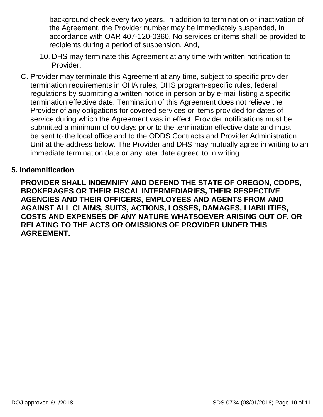background check every two years. In addition to termination or inactivation of the Agreement, the Provider number may be immediately suspended, in accordance with OAR 407-120-0360. No services or items shall be provided to recipients during a period of suspension. And,

- 10. DHS may terminate this Agreement at any time with written notification to Provider.
- C. Provider may terminate this Agreement at any time, subject to specific provider termination requirements in OHA rules, DHS program-specific rules, federal regulations by submitting a written notice in person or by e-mail listing a specific termination effective date. Termination of this Agreement does not relieve the Provider of any obligations for covered services or items provided for dates of service during which the Agreement was in effect. Provider notifications must be submitted a minimum of 60 days prior to the termination effective date and must be sent to the local office and to the ODDS Contracts and Provider Administration Unit at the address below. The Provider and DHS may mutually agree in writing to an immediate termination date or any later date agreed to in writing.

#### **5. Indemnification**

**PROVIDER SHALL INDEMNIFY AND DEFEND THE STATE OF OREGON, CDDPS, BROKERAGES OR THEIR FISCAL INTERMEDIARIES, THEIR RESPECTIVE AGENCIES AND THEIR OFFICERS, EMPLOYEES AND AGENTS FROM AND AGAINST ALL CLAIMS, SUITS, ACTIONS, LOSSES, DAMAGES, LIABILITIES, COSTS AND EXPENSES OF ANY NATURE WHATSOEVER ARISING OUT OF, OR RELATING TO THE ACTS OR OMISSIONS OF PROVIDER UNDER THIS AGREEMENT.**